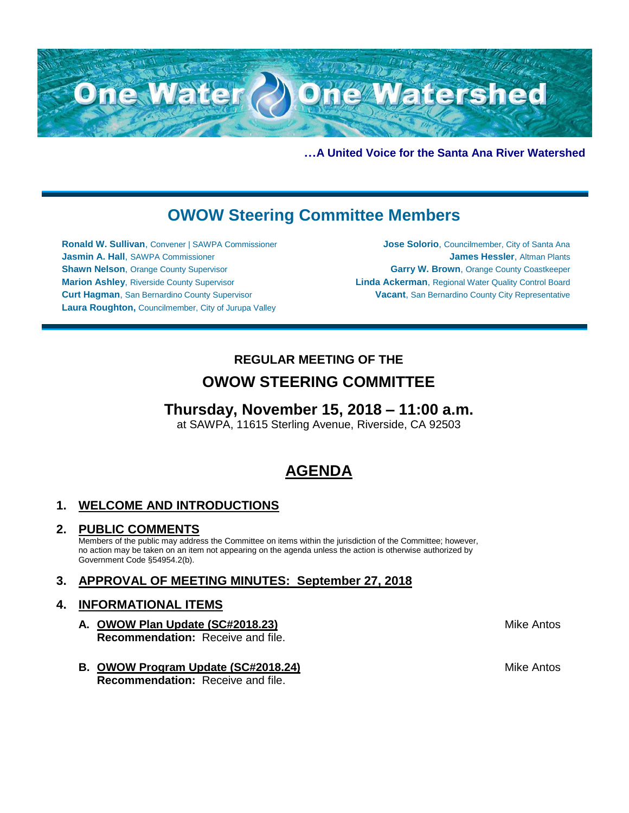

**…A United Voice for the Santa Ana River Watershed**

# **OWOW Steering Committee Members**

**Ronald W. Sullivan**, Convener | SAWPA Commissioner **Jasmin A. Hall**, SAWPA Commissioner **Shawn Nelson, Orange County Supervisor Marion Ashley**, Riverside County Supervisor **Curt Hagman**, San Bernardino County Supervisor **Laura Roughton,** Councilmember, City of Jurupa Valley

**Jose Solorio**, Councilmember, City of Santa Ana **James Hessler**, Altman Plants **Garry W. Brown**, Orange County Coastkeeper **Linda Ackerman**, Regional Water Quality Control Board **Vacant**, San Bernardino County City Representative

## **REGULAR MEETING OF THE OWOW STEERING COMMITTEE**

### **Thursday, November 15, 2018 – 11:00 a.m.**

at SAWPA, 11615 Sterling Avenue, Riverside, CA 92503

# **AGENDA**

### **1. WELCOME AND INTRODUCTIONS**

#### **2. PUBLIC COMMENTS**

Members of the public may address the Committee on items within the jurisdiction of the Committee; however, no action may be taken on an item not appearing on the agenda unless the action is otherwise authorized by Government Code §54954.2(b).

### **3. APPROVAL OF MEETING MINUTES: September 27, 2018**

### **4. INFORMATIONAL ITEMS**

- **A. OWOW Plan Update (SC#2018.23) Recommendation:** Receive and file.
- **B. OWOW Program Update (SC#2018.24) Recommendation:** Receive and file.

Mike Antos

Mike Antos